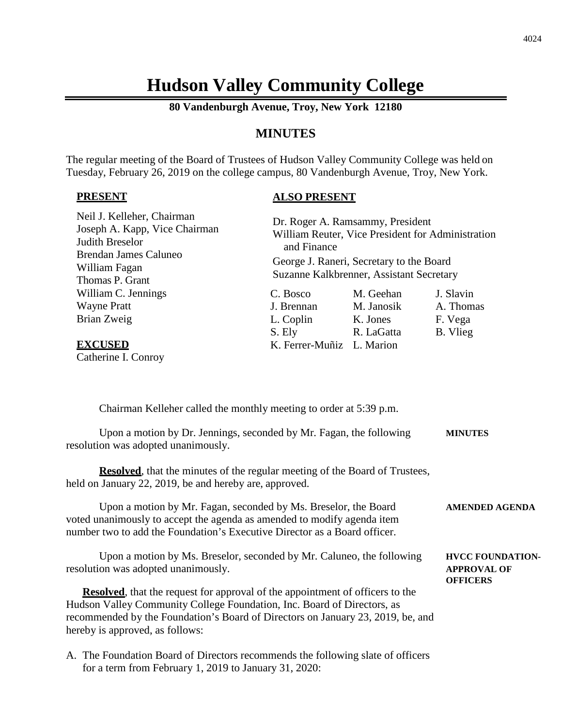# **Hudson Valley Community College**

**80 Vandenburgh Avenue, Troy, New York 12180**

# **MINUTES**

The regular meeting of the Board of Trustees of Hudson Valley Community College was held on Tuesday, February 26, 2019 on the college campus, 80 Vandenburgh Avenue, Troy, New York.

## **PRESENT**

# **ALSO PRESENT**

| Neil J. Kelleher, Chairman<br>Joseph A. Kapp, Vice Chairman<br>Judith Breselor<br><b>Brendan James Caluneo</b><br>William Fagan<br>Thomas P. Grant | and Finance               | Dr. Roger A. Ramsammy, President<br>William Reuter, Vice President for Administration<br>George J. Raneri, Secretary to the Board<br>Suzanne Kalkbrenner, Assistant Secretary |           |
|----------------------------------------------------------------------------------------------------------------------------------------------------|---------------------------|-------------------------------------------------------------------------------------------------------------------------------------------------------------------------------|-----------|
| William C. Jennings                                                                                                                                | C. Bosco                  | M. Geehan                                                                                                                                                                     | J. Slavin |
| <b>Wayne Pratt</b>                                                                                                                                 | J. Brennan                | M. Janosik                                                                                                                                                                    | A. Thomas |
| Brian Zweig                                                                                                                                        | L. Coplin                 | K. Jones                                                                                                                                                                      | F. Vega   |
|                                                                                                                                                    | S. Ely                    | R. LaGatta                                                                                                                                                                    | B. Vlieg  |
| <b>EXCUSED</b>                                                                                                                                     | K. Ferrer-Muñiz L. Marion |                                                                                                                                                                               |           |
| Catherine I. Conroy                                                                                                                                |                           |                                                                                                                                                                               |           |

| Chairman Kelleher called the monthly meeting to order at 5:39 p.m.                                                                                                                                                                                                                     |                                                                  |
|----------------------------------------------------------------------------------------------------------------------------------------------------------------------------------------------------------------------------------------------------------------------------------------|------------------------------------------------------------------|
| Upon a motion by Dr. Jennings, seconded by Mr. Fagan, the following<br>resolution was adopted unanimously.                                                                                                                                                                             | <b>MINUTES</b>                                                   |
| <b>Resolved</b> , that the minutes of the regular meeting of the Board of Trustees,<br>held on January 22, 2019, be and hereby are, approved.                                                                                                                                          |                                                                  |
| Upon a motion by Mr. Fagan, seconded by Ms. Breselor, the Board<br>voted unanimously to accept the agenda as amended to modify agenda item<br>number two to add the Foundation's Executive Director as a Board officer.                                                                | <b>AMENDED AGENDA</b>                                            |
| Upon a motion by Ms. Breselor, seconded by Mr. Caluneo, the following<br>resolution was adopted unanimously.                                                                                                                                                                           | <b>HVCC FOUNDATION-</b><br><b>APPROVAL OF</b><br><b>OFFICERS</b> |
| <b>Resolved</b> , that the request for approval of the appointment of officers to the<br>Hudson Valley Community College Foundation, Inc. Board of Directors, as<br>recommended by the Foundation's Board of Directors on January 23, 2019, be, and<br>hereby is approved, as follows: |                                                                  |
| A. The Foundation Board of Directors recommends the following slate of officers                                                                                                                                                                                                        |                                                                  |

for a term from February 1, 2019 to January 31, 2020: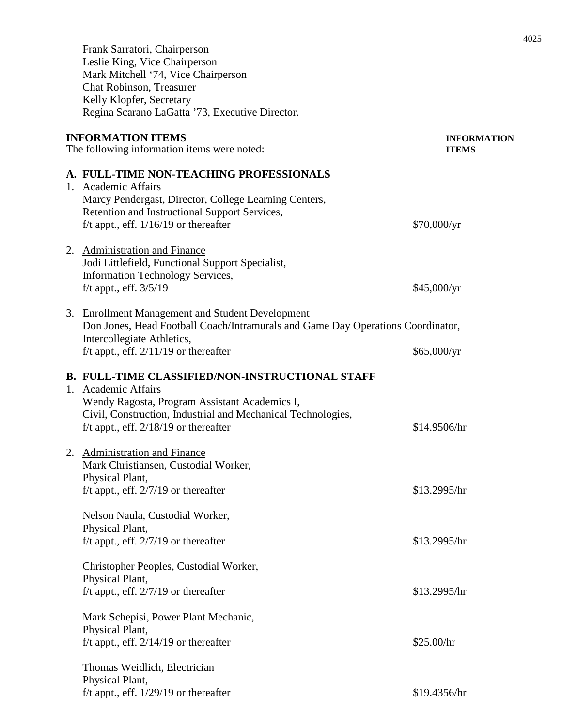Frank Sarratori, Chairperson Leslie King, Vice Chairperson Mark Mitchell '74, Vice Chairperson Chat Robinson, Treasurer Kelly Klopfer, Secretary Regina Scarano LaGatta '73, Executive Director. **INFORMATION ITEMS INFORMATION** The following information items were noted: **ITEMS A. FULL-TIME NON-TEACHING PROFESSIONALS** 1. Academic Affairs Marcy Pendergast, Director, College Learning Centers, Retention and Instructional Support Services, f/t appt., eff.  $1/16/19$  or thereafter \$70,000/yr 2. Administration and Finance Jodi Littlefield, Functional Support Specialist, Information Technology Services, f/t appt., eff. 3/5/19 \$45,000/yr 3. Enrollment Management and Student Development Don Jones, Head Football Coach/Intramurals and Game Day Operations Coordinator, Intercollegiate Athletics, f/t appt., eff.  $2/11/19$  or thereafter \$65,000/yr **B. FULL-TIME CLASSIFIED/NON-INSTRUCTIONAL STAFF** 1. Academic Affairs Wendy Ragosta, Program Assistant Academics I, Civil, Construction, Industrial and Mechanical Technologies,  $f/t$  appt., eff.  $2/18/19$  or thereafter \$14.9506/hr 2. Administration and Finance Mark Christiansen, Custodial Worker, Physical Plant,  $f/t$  appt., eff.  $2/7/19$  or thereafter  $$13.2995/hr$ Nelson Naula, Custodial Worker, Physical Plant, f/t appt., eff.  $2/7/19$  or thereafter \$13.2995/hr Christopher Peoples, Custodial Worker, Physical Plant, f/t appt., eff.  $2/7/19$  or thereafter \$13.2995/hr Mark Schepisi, Power Plant Mechanic, Physical Plant, f/t appt., eff.  $2/14/19$  or thereafter  $$25.00/hr$ 

Thomas Weidlich, Electrician Physical Plant, f/t appt., eff.  $1/29/19$  or thereafter \$19.4356/hr 4025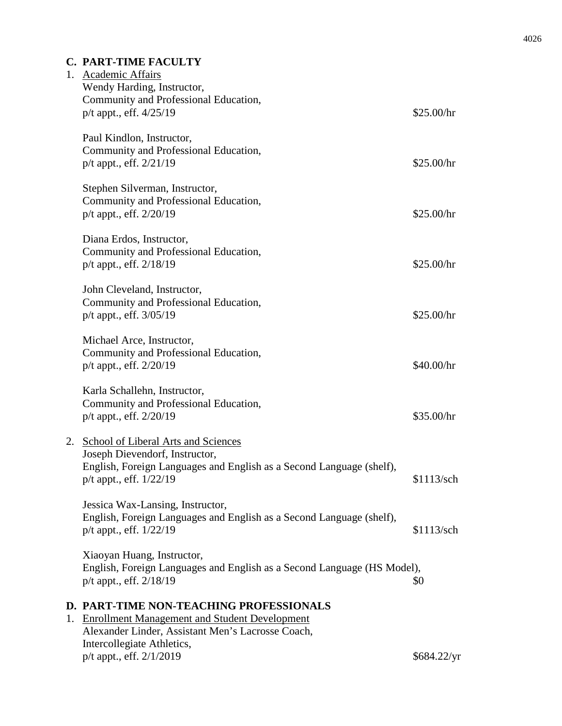# **C. PART-TIME FACULTY**

|    | 1. Academic Affairs<br>Wendy Harding, Instructor,<br>Community and Professional Education,<br>p/t appt., eff. 4/25/19                            | \$25.00/hr  |
|----|--------------------------------------------------------------------------------------------------------------------------------------------------|-------------|
|    | Paul Kindlon, Instructor,<br>Community and Professional Education,<br>p/t appt., eff. 2/21/19                                                    | \$25.00/hr  |
|    | Stephen Silverman, Instructor,<br>Community and Professional Education,<br>p/t appt., eff. 2/20/19                                               | \$25.00/hr  |
|    | Diana Erdos, Instructor,<br>Community and Professional Education,<br>p/t appt., eff. 2/18/19                                                     | \$25.00/hr  |
|    | John Cleveland, Instructor,<br>Community and Professional Education,<br>p/t appt., eff. 3/05/19                                                  | \$25.00/hr  |
|    | Michael Arce, Instructor,<br>Community and Professional Education,<br>p/t appt., eff. 2/20/19                                                    | \$40.00/hr  |
|    | Karla Schallehn, Instructor,<br>Community and Professional Education,<br>p/t appt., eff. 2/20/19                                                 | \$35.00/hr  |
| 2. | School of Liberal Arts and Sciences                                                                                                              |             |
|    | Joseph Dievendorf, Instructor,<br>English, Foreign Languages and English as a Second Language (shelf),<br>$p/t$ appt., eff. $1/22/19$            | \$1113/sch  |
|    | Jessica Wax-Lansing, Instructor,<br>English, Foreign Languages and English as a Second Language (shelf),<br>p/t appt., eff. 1/22/19              | \$1113/sch  |
|    | Xiaoyan Huang, Instructor,<br>English, Foreign Languages and English as a Second Language (HS Model),<br>$p/t$ appt., eff. $2/18/19$             | \$0         |
|    | D. PART-TIME NON-TEACHING PROFESSIONALS<br>1. Enrollment Management and Student Development<br>Alexander Linder, Assistant Men's Lacrosse Coach, |             |
|    | Intercollegiate Athletics,<br>p/t appt., eff. 2/1/2019                                                                                           | \$684.22/yr |